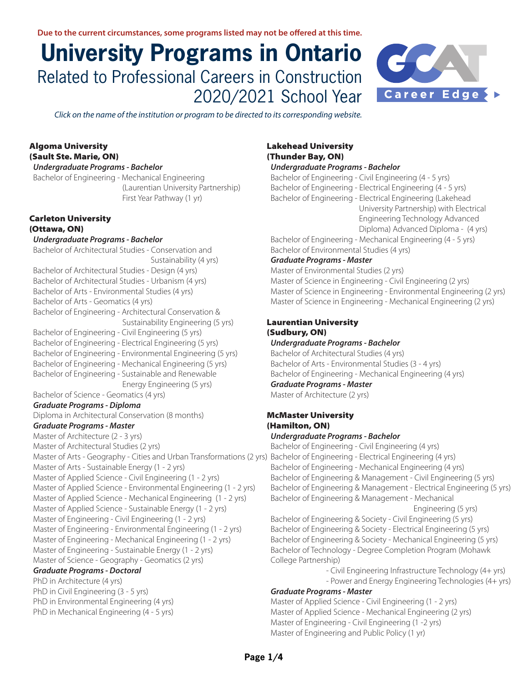# **University Programs in Ontario**  Related to Professional Careers in Construction 2020/2021 School Year



*Click on the name of the institution or program to be directed to its corresponding website.* 

## Algom[a University](https://www.algomau.ca/) (Sault Ste. Marie, ON)

#### *Undergraduate Programs - Bachelor*

[Bachelor of Engineering - Mechanical Engineering](https://www.algomau.ca/academics/programs/engineering/)  [\(Laurentian University Partnership\)](https://www.algomau.ca/academics/programs/engineering/)   [First Year Pathway \(1 yr\)](https://www.algomau.ca/academics/programs/engineering/)

## [Carleton University](http://carleton.ca/) (Ottawa, ON)

#### *Undergraduate Programs - Bachelor*

[Bachelor of Architectural Studies - Conservation and](http://carleton.ca/architecture/programs/academic-programs/undergraduate-programs/conservation-and-sustainability/)  [Sustainability \(4 yrs\)](http://carleton.ca/architecture/programs/academic-programs/undergraduate-programs/conservation-and-sustainability/) [Bachelor of Architectural Studies - Design \(4 yrs\)](http://carleton.ca/architecture/programs/academic-programs/undergraduate-programs/design/) [Bachelor of Architectural Studies - Urbanism \(4 yrs\)](http://carleton.ca/architecture/programs/academic-programs/undergraduate-programs/urbanism/) [Bachelor of Arts - Environmental Studies \(4 yrs\)](https://admissions.carleton.ca/programs/environmental-studies/) [Bachelor of Arts - Geomatics \(4 yrs\)](https://admissions.carleton.ca/programs/geomatics/) [Bachelor of Engineering - Architectural Conservation &](https://admissions.carleton.ca/programs/architectural-conservation-and-sustainability-engineering/)   [Sustainability Engineering \(5 yrs\)](https://admissions.carleton.ca/programs/architectural-conservation-and-sustainability-engineering/)  [Bachelor of Engineering - Civil Engineering \(5 yrs\)](https://admissions.carleton.ca/programs/civil-engineering/) [Bachelor of Engineering - Electrical Engineering \(5 yrs\)](https://admissions.carleton.ca/programs/electrical-engineering/) [Bachelor of Engineering - Environmental Engineering \(5 yrs\)](https://admissions.carleton.ca/programs/environmental-engineering/)  [Bachelor of Engineering - Mechanical Engineering \(5 yrs\)](https://admissions.carleton.ca/programs/mechanical-engineering/) [Bachelor of Engineering - Sustainable and Renewable](https://admissions.carleton.ca/programs/sustainable-and-renewable-energy-engineering/)   [Energy Engineering \(5 yrs\)](https://admissions.carleton.ca/programs/sustainable-and-renewable-energy-engineering/) [Bachelor of Science - Geomatics \(4 yrs\)](https://admissions.carleton.ca/programs/geomatics-bsc/) *Graduate Programs - Diploma* [Diploma in Architectural Conservation \(8 months\)](https://graduate.carleton.ca/cu-programs/architectural-conservation-diploma/)  *Graduate Programs - Master* [Master of Architecture \(2 - 3 yrs\)](http://graduate.carleton.ca/programs/architecture-masters/) [Master of Architectural Studies \(2 yrs\)](http://graduate.carleton.ca/programs/architectural-studies-masters/) [Master of Arts - Geography - Cities and Urban Transformations \(2 yrs\)](http://graduate.carleton.ca/programs/geography-masters/) [Bachelor of Engineering - Electrical Engineering \(4 yrs\)](https://www.eng.mcmaster.ca/ece/programs/degree-options/beng/electrical-engineering) [Master of Arts - Sustainable Energy \(1 - 2 yrs\)](http://graduate.carleton.ca/programs/sustainable-energy-masters/) [Master of Applied Science - Civil Engineering \(1 - 2 yrs\)](http://graduate.carleton.ca/programs/civil-engineering-masters/) [Master of Applied Science - Environmental Engineering \(1 - 2 yrs\)](https://graduate.carleton.ca/cu-programs/environmental-engineering-masters/)  [Master of Applied Science - Mechanical Engineering \(1 - 2 yrs\)](http://graduate.carleton.ca/programs/mechanical-engineering-masters/) [Master of Applied Science - Sustainable Energy \(1 - 2 yrs\)](http://graduate.carleton.ca/programs/sustainable-energy-masters/) [Master of Engineering - Civil Engineering \(1 - 2 yrs\)](http://graduate.carleton.ca/programs/civil-engineering-masters/) [Master of Engineering - Environmental Engineering \(1 - 2 yrs\)](https://graduate.carleton.ca/cu-programs/environmental-engineering-masters/)  [Master of Engineering - Mechanical Engineering \(1 - 2 yrs\)](http://graduate.carleton.ca/programs/mechanical-engineering-masters/) [Master of Engineering - Sustainable Energy \(1 - 2 yrs\)](http://graduate.carleton.ca/programs/sustainable-energy-masters/) [Master of Science - Geography - Geomatics \(2 yrs\)](http://graduate.carleton.ca/programs/geography-masters/) *Graduate Programs - Doctoral* [PhD in Architecture \(4 yrs\)](http://graduate.carleton.ca/programs/architecture-phd/) [PhD in Civil Engineering \(3 - 5 yrs\)](http://graduate.carleton.ca/programs/civil-engineering-phd/) [PhD in Environmental Engineering \(4 yrs\)](http://graduate.carleton.ca/programs/environmental-engineering-phd/) [PhD in Mechanical Engineering \(4 - 5 yrs\)](http://graduate.carleton.ca/programs/mechanical-engineering-phd/)

## [Lakehead University](https://www.lakeheadu.ca/) (Thunder Bay, ON)

## *Undergraduate Programs - Bachelor*

[Bachelor of Engineering - Civil Engineering \(4 - 5 yrs\)](https://www.lakeheadu.ca/academics/departments/civil-engineering/programs/ug) [Bachelor of Engineering - Electrical Engineering \(4 - 5 yrs\)](https://www.lakeheadu.ca/academics/departments/electrical-engineering/programs/ug) [Bachelor of Engineering - Electrical Engineering \(Lakehead](https://www.lakeheadu.ca/academics/departments/electrical-engineering/programs/undergraduate---lakehead-georgian-partnership)   [University Partnership\) with Electrical](https://www.lakeheadu.ca/academics/departments/electrical-engineering/programs/undergraduate---lakehead-georgian-partnership)   [Engineering Technology Advanced](https://www.lakeheadu.ca/academics/departments/electrical-engineering/programs/undergraduate---lakehead-georgian-partnership)  [Diploma\) Advanced Diploma - \(4 yrs\)](https://www.lakeheadu.ca/academics/departments/electrical-engineering/programs/undergraduate---lakehead-georgian-partnership)  [Bachelor of Engineering - Mechanical Engineering \(4 - 5 yrs\)](https://www.lakeheadu.ca/academics/departments/mechanical-engineering/programs/ug)

[Bachelor of Environmental Studies \(4 yrs\)](https://www.lakeheadu.ca/programs/undergraduate-programs/environmental-studies/node/3578)

## *Graduate Programs - Master*

[Master of Environmental Studies \(2 yrs\)](https://www.lakeheadu.ca/academics/graduate/programs/masters/environmental-studies-northern/node/7266)  [Master of Science in Engineering - Civil Engineering \(2 yrs\)](https://www.lakeheadu.ca/academics/graduate/programs/masters/engineering-civil/node/23721) [Master of Science in Engineering - Environmental Engineering \(2 yrs\)](https://www.lakeheadu.ca/academics/graduate/programs/masters/environmental-engineering/node/7269)  [Master of Science in Engineering - Mechanical Engineering \(2 yrs\)](https://www.lakeheadu.ca/academics/graduate/programs/masters/engineering-mechanical/node/17225)

#### [Laurentian University](https://laurentian.ca/) (Sudbury, ON)

#### *Undergraduate Programs - Bachelor*

[Bachelor of Architectural Studies \(4 yrs\)](https://laurentian.ca/program/architecture) [Bachelor of Arts - Environmental Studies \(3 - 4 yrs\)](https://laurentian.ca/program/environmental-studies) [Bachelor of Engineering - Mechanical Engineering \(4 yrs\)](https://laurentian.ca/program/mechanical-engineering) *Graduate Programs - Master*

[Master of Architecture \(2 yrs\)](https://laurentian.ca/program/architecture-msc)

# [McMaster University](http://www.mcmaster.ca/)  (Hamilton, ON)

#### *Undergraduate Programs - Bachelor*

[Bachelor of Engineering - Civil Engineering \(4 yrs\)](https://www.eng.mcmaster.ca/civil/programs/degree-options/beng-2) [Bachelor of Engineering - Mechanical Engineering \(4 yrs\)](https://www.eng.mcmaster.ca/mech/programs/degree-options/b-eng-mechanical-engineering) [Bachelor of Engineering & Management - Civil Engineering \(5 yrs\)](https://www.eng.mcmaster.ca/civil/programs/degree-options/bengmgt-0)  [Bachelor of Engineering & Management - Electrical Engineering \(5 yrs\)](https://www.eng.mcmaster.ca/ece/programs/degree-options/bengmgt/electrical-engineering-and-management) [Bachelor of Engineering & Management - Mechanical](https://www.eng.mcmaster.ca/mech/programs/degree-options/bengmgt-1)   [Engineering \(5 yrs\)](https://www.eng.mcmaster.ca/mech/programs/degree-options/bengmgt-1) 

[Bachelor of Engineering & Society - Civil Engineering \(5 yrs\)](https://www.eng.mcmaster.ca/civil/programs/degree-options/bengsociety-0#overview)  [Bachelor of Engineering & Society - Electrical Engineering \(5 yrs\)](https://www.eng.mcmaster.ca/ece/programs/degree-options/bengsociety/electrical-engineering-and-society)  [Bachelor of Engineering & Society - Mechanical Engineering \(5 yrs\)](https://www.eng.mcmaster.ca/mech/programs/degree-options/bengsociety-1)  [Bachelor of Technology - Degree Completion Program \(Mohawk](https://www.eng.mcmaster.ca/sept/programs/degree-options#degree-completion-program)  [College Partnership\)](https://www.eng.mcmaster.ca/sept/programs/degree-options#degree-completion-program)

 [- Civil Engineering Infrastructure Technology \(4+ yrs\)](https://www.eng.mcmaster.ca/sept/programs/degree-options/btech/civil-engineering-infrastructure-technology#overview) 

 [- Power and Energy Engineering Technologies \(4+ yrs\)](https://www.eng.mcmaster.ca/sept/programs/degree-options/btech/power-and-energy-engineering-technology) 

#### *Graduate Programs - Master*

[Master of Applied Science - Civil Engineering \(1 - 2 yrs\)](http://graduate.mcmaster.ca/programs/civil-engineering?degree=23) [Master of Applied Science - Mechanical Engineering \(2 yrs\)](https://graduate.mcmaster.ca/programs/mechanical-engineering?degree=23)  [Master of Engineering - Civil Engineering \(1 -2 yrs\)](http://graduate.mcmaster.ca/programs/civil-engineering?degree=24) [Master of Engineering and Public Policy \(1 yr\)](http://graduate.mcmaster.ca/programs/engineering-and-public-policy?degree=26)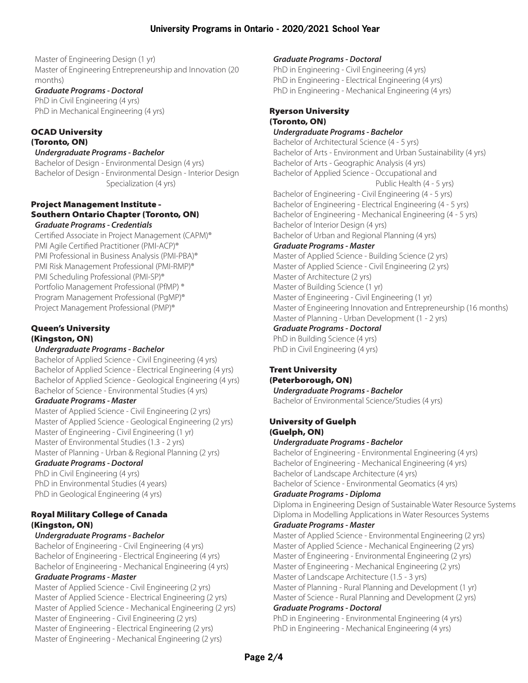[Master of Engineering Design \(1 yr\)](http://graduate.mcmaster.ca/programs/engineering-design?degree=27) [Master of Engineering Entrepreneurship and Innovation \(20](http://graduate.mcmaster.ca/programs/engineering-entrepreneurship-and-innovation?degree=28)  [months\)](http://graduate.mcmaster.ca/programs/engineering-entrepreneurship-and-innovation?degree=28) 

## *Graduate Programs - Doctoral*

[PhD in Civil Engineering \(4 yrs\)](http://graduate.mcmaster.ca/programs/civil-engineering?degree=19) [PhD in Mechanical Engineering \(4 yrs\)](https://graduate.mcmaster.ca/programs/mechanical-engineering?degree=19)

#### [OCAD University](http://www.ocadu.ca/) (Toronto, ON)

## *Undergraduate Programs - Bachelor*

[Bachelor of Design - Environmental Design \(4 yrs\)](https://www.ocadu.ca/Page340.aspx) [Bachelor of Design - Environmental Design - Interior Design](https://www.ocadu.ca/Page2273.aspx)   [Specialization \(4 yrs\)](https://www.ocadu.ca/Page2273.aspx)

#### [Project Management Institute -](http://www.pmitoronto.ca/?)  [Southern Ontario Chapter \(Toronto, ON\)](http://www.pmitoronto.ca/?) *Graduate Programs - Credentials*

[Certified Associate in Project Management \(CAPM\)®](http://www.pmi.org/certifications/types/certified-associate-capm) [PMI Agile Certified Practitioner \(PMI-ACP\)®](http://www.pmi.org/certifications/types/agile-acp)  [PMI Professional in Business Analysis \(PMI-PBA\)®](http://www.pmi.org/certifications/types/business-analysis-pba) [PMI Risk Management Professional \(PMI-RMP\)®](http://www.pmi.org/certifications/types/risk-management-rmp)  [PMI Scheduling Professional \(PMI-SP\)®](http://www.pmi.org/certifications/types/scheduling-sp)  [Portfolio Management Professional \(PfMP\) ®](http://www.pmi.org/certifications/types/portfolio-management-pfmp)  [Program Management Professional \(PgMP\)®](http://www.pmi.org/certifications/types/program-management-pgmp)  [Project Management Professional \(PMP\)®](http://www.pmi.org/certifications/types/project-management-pmp) 

## [Queen's University](http://www.queensu.ca/) (Kingston, ON)

## *Undergraduate Programs - Bachelor*

[Bachelor of Applied Science - Civil Engineering \(4 yrs\)](https://engineering.queensu.ca/programs/undergraduate/civil-engineering.html) [Bachelor of Applied Science - Electrical Engineering \(4 yrs\)](https://engineering.queensu.ca/programs/undergraduate/electrical-engineering.html) [Bachelor of Applied Science - Geological Engineering \(4 yrs\)](https://engineering.queensu.ca/programs/undergraduate/geological-engineering.html) [Bachelor of Science - Environmental Studies \(4 yrs\)](http://www.queensu.ca/ensc/undergraduate)

## *Graduate Programs - Master*

[Master of Applied Science - Civil Engineering \(2 yrs\)](https://engineering.queensu.ca/programs/graduate-professional/civil-engineering.html) [Master of Applied Science - Geological Engineering \(2 yrs\)](https://engineering.queensu.ca/programs/graduate-professional/research/geological-engineering.html) [Master of Engineering - Civil Engineering \(1 yr\)](https://engineering.queensu.ca/programs/graduate-professional/civil-engineering.html) [Master of Environmental Studies \(1.3 - 2 yrs\)](https://www.queensu.ca/ensc/graduate/mes-program-guide) [Master of Planning - Urban & Regional Planning \(2 yrs\)](http://www.queensu.ca/sgs/urban-regional-planning)

## *Graduate Programs - Doctoral*

[PhD in Civil Engineering \(4 yrs\)](https://engineering.queensu.ca/programs/graduate-professional/civil-engineering.html) [PhD in Environmental Studies \(4 years\)](https://www.queensu.ca/ensc/graduate/phd-program-guide) [PhD in Geological Engineering \(4 yrs\)](https://engineering.queensu.ca/programs/graduate-professional/research/geological-engineering.html)

## [Royal Military College of Canada](http://www.rmcc-cmrc.ca/en)  (Kingston, ON)

## *Undergraduate Programs - Bachelor*

[Bachelor of Engineering - Civil Engineering \(4 yrs\)](http://www.rmcc-cmrc.ca/en/registrars-office/undergraduate-civil-engineering-programme) [Bachelor of Engineering - Electrical Engineering \(4 yrs\)](http://www.rmcc-cmrc.ca/en/registrars-office/electrical-engineering-and-computer-engineering-undergraduate-programmes) [Bachelor of Engineering - Mechanical Engineering \(4 yrs\)](http://www.rmcc-cmrc.ca/en/registrars-office/mechanical-aeronautical-engineering-undergraduate-programmes)

## *Graduate Programs - Master*

[Master of Applied Science - Civil Engineering \(2 yrs\)](http://www.rmcc-cmrc.ca/en/registrars-office/graduate-programmes-civil-engineering#gi-rg)  [Master of Applied Science - Electrical Engineering \(2 yrs\)](http://www.rmcc-cmrc.ca/en/registrars-office/graduate-programmes-electrical-engineering-and-computer-engineering)  [Master of Applied Science - Mechanical Engineering \(2 yrs\)](http://www.rmcc-cmrc.ca/en/registrars-office/graduate-programmes-mechanical-engineering-and-aeronautical-engineering#gi-rg) [Master of Engineering - Civil Engineering \(2 yrs\)](http://www.rmcc-cmrc.ca/en/registrars-office/graduate-programmes-civil-engineering#gi-rg) [Master of Engineering - Electrical Engineering \(2 yrs\)](http://www.rmcc-cmrc.ca/en/registrars-office/graduate-programmes-electrical-engineering-and-computer-engineering) [Master of Engineering - Mechanical Engineering \(2 yrs\)](http://www.rmcc-cmrc.ca/en/registrars-office/graduate-programmes-mechanical-engineering-and-aeronautical-engineering#gi-rg)

## *Graduate Programs - Doctoral*

[PhD in Engineering - Civil Engineering \(4 yrs\)](http://www.rmcc-cmrc.ca/en/registrars-office/graduate-programmes-civil-engineering#gi-rg) [PhD in Engineering - Electrical Engineering \(4 yrs\)](http://www.rmcc-cmrc.ca/en/registrars-office/graduate-programmes-electrical-engineering-and-computer-engineering) [PhD in Engineering - Mechanical Engineering \(4 yrs\)](http://www.rmcc-cmrc.ca/en/registrars-office/graduate-programmes-mechanical-engineering-and-aeronautical-engineering#gi-rg) 

#### [Ryerson University](http://www.ryerson.ca/) (Toronto, ON) *Undergraduate Programs - Bachelor*

[Bachelor of Architectural Science \(4 - 5 yrs\)](https://www.ryerson.ca/programs/undergraduate/architectural-science/) [Bachelor of Arts - Environment and Urban Sustainability \(4 yrs\)](https://www.ryerson.ca/programs/undergraduate/environment-urban-sustainability/) [Bachelor of Arts - Geographic Analysis \(4 yrs\)](http://www.ryerson.ca/programs/undergraduate/geographic-analysis/) [Bachelor of Applied Science - Occupational and](https://www.ryerson.ca/programs/undergraduate/occupational-health-safety/)   [Public Health \(4 - 5 yrs\)](https://www.ryerson.ca/programs/undergraduate/occupational-health-safety/) [Bachelor of Engineering - Civil Engineering \(4 - 5 yrs\)](https://www.ryerson.ca/programs/undergraduate/civil-engineering/) [Bachelor of Engineering - Electrical Engineering \(4 - 5 yrs\)](https://www.ryerson.ca/programs/undergraduate/electrical-engineering/) [Bachelor of Engineering - Mechanical Engineering \(4 - 5 yrs\)](https://www.ryerson.ca/programs/undergraduate/mechanical-engineering/) [Bachelor of Interior Design \(4 yrs\)](https://www.ryerson.ca/programs/undergraduate/interior-design/) [Bachelor of Urban and Regional Planning \(4 yrs\)](https://www.ryerson.ca/programs/undergraduate/urban-regional-planning/) *Graduate Programs - Master* [Master of Applied Science](https://www.ryerson.ca/graduate/programs/building-science/) - Building Science (2 yrs) [Master of Applied Science - Civil Engineering \(2 yrs\)](https://www.ryerson.ca/graduate/programs/civil-engineering/) [Master of Architecture \(2 yrs\)](https://www.ryerson.ca/graduate/programs/architecture/)

[Master of Building Science \(1 yr\)](https://www.ryerson.ca/graduate/programs/building-science/)

[Master of Engineering - Civil Engineering \(1 yr\)](https://www.ryerson.ca/graduate/programs/civil-engineering/) [Master of Engineering Innovation and Entrepreneurship \(16 months\)](https://www.ryerson.ca/graduate/programs/engineering-innovation-entrepreneurship/) [Master of Planning - Urban Development \(1 - 2 yrs\)](https://www.ryerson.ca/graduate/programs/urban-development/)

*Graduate Programs - Doctoral*

[PhD in Building Science \(4 yrs\)](https://www.ryerson.ca/graduate/programs/building-science/) [PhD in Civil Engineering \(4 yrs\)](https://www.ryerson.ca/graduate/programs/civil-engineering/)

# [Trent University](https://www.trentu.ca/futurestudents/)

(Peterborough, ON) *Undergraduate Programs - Bachelor* [Bachelor of Environmental Science/Studies \(4 yrs\)](https://www.trentu.ca/futurestudents/degree/environmental-science-studies?target=undergraduate) 

#### [University of Guelph](https://www.uoguelph.ca/) (Guelph, ON)

## *Undergraduate Programs - Bachelor*

[Bachelor of Engineering - Environmental Engineering \(4 yrs\)](http://www.uoguelph.ca/engineering/undergrad-environmental-engineering) [Bachelor of Engineering - Mechanical Engineering \(4 yrs\)](http://www.uoguelph.ca/engineering/undergrad-mechanical-engineering) [Bachelor of Landscape Architecture \(4 yrs\)](https://admission.uoguelph.ca/bla) [Bachelor of Science - Environmental Geomatics \(4 yrs\)](https://admission.uoguelph.ca/bsc/egg) 

## *Graduate Programs - Diploma*

[Diploma in Engineering Design of Sustainable Water Resource Systems](https://www.uoguelph.ca/graduatestudies/programs/enggd1) [Diploma in Modelling Applications in Water Resources Systems](https://www.uoguelph.ca/graduatestudies/programs/enggd2)

## *Graduate Programs - Master*

[Master of Applied Science - Environmental Engineering \(2 yrs\)](https://www.uoguelph.ca/engineering/grad/masc-program) [Master of Applied Science - Mechanical Engineering \(2 yrs\)](https://www.uoguelph.ca/engineering/grad/masc-program) [Master of Engineering - Environmental Engineering \(2 yrs\)](https://www.uoguelph.ca/engineering/grad/meng-program) [Master of Engineering - Mechanical Engineering \(2 yrs\)](https://www.uoguelph.ca/engineering/grad/meng-program)  [Master of Landscape Architecture \(1.5 - 3 yrs\)](https://www.uoguelph.ca/sedrd/landscape-architecture/master-landscape-architecture)

[Master of Planning - Rural Planning and Development \(1 yr\)](https://www.uoguelph.ca/sedrd/rural-planning-development/mplan)  [Master of Science - Rural Planning and Development \(2 yrs\)](https://www.uoguelph.ca/sedrd/rural-planning-development/msc-program)

## *Graduate Programs - Doctoral*

[PhD in Engineering - Environmental Engineering](https://www.uoguelph.ca/engineering/grad/phd-program) (4 yrs) [PhD in Engineering - Mechanical Engineering](https://www.uoguelph.ca/engineering/grad/phd-program) (4 yrs)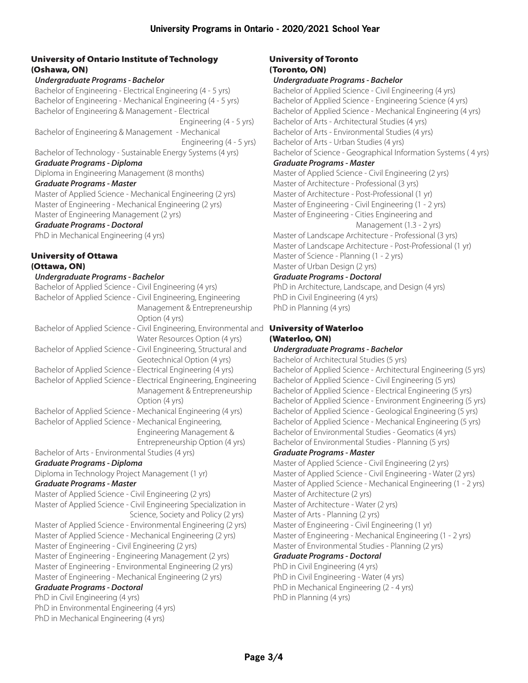## [University of Ontario Institute of Technology](http://www.uoit.ca/) (Oshawa, ON)

#### *Undergraduate Programs - Bachelor*

[Bachelor of Engineering - Electrical Engineering \(4 - 5 yrs\)](http://www.uoit.ca/programs/engineering-and-applied-science/electrical-engineering-electrical-engineering-and-management.php) [Bachelor of Engineering - Mechanical Engineering \(4 - 5 yrs\)](http://www.uoit.ca/programs/engineering-and-applied-science/mechanical-engineering-mechanical-engineering-and-management.php) [Bachelor of Engineering & Management - Electrical](http://www.uoit.ca/programs/engineering-and-applied-science/electrical-engineering-electrical-engineering-and-management.php)   [Engineering \(4 - 5 yrs\)](http://www.uoit.ca/programs/engineering-and-applied-science/electrical-engineering-electrical-engineering-and-management.php)  [Bachelor of Engineering & Management - Mechanical](http://www.uoit.ca/programs/engineering-and-applied-science/mechanical-engineering-mechanical-engineering-and-management.php)   [Engineering \(4 - 5 yrs\)](http://www.uoit.ca/programs/engineering-and-applied-science/mechanical-engineering-mechanical-engineering-and-management.php) [Bachelor of Technology - Sustainable Energy Systems \(4 yrs\)](https://ontariotechu.ca/programs/energy-systems-and-nuclear-science/sustainable-energy-systems.php)  *Graduate Programs - Diploma* [Diploma in Engineering Management \(8 months\)](http://www.uoit.ca/programs/engineering-and-applied-science/engineering-management-graduate-diploma.php) *Graduate Programs - Master* [Master of Applied Science - Mechanical Engineering \(2 yrs\)](http://www.uoit.ca/programs/engineering-and-applied-science/mechanical-engineering-masters-program.php) [Master of Engineering - Mechanical Engineering \(2 yrs\)](http://www.uoit.ca/programs/engineering-and-applied-science/mechanical-engineering-masters-program.php) [Master of Engineering Management \(2 yrs\)](http://www.uoit.ca/programs/engineering-and-applied-science/engineering-management-masters-program.php)

# *Graduate Programs - Doctoral*

[PhD in Mechanical Engineering \(4 yr](http://www.uoit.ca/programs/engineering-and-applied-science/mechanical-engineering-doctoral-program.php)s)

## [University of Ottawa](https://www.uottawa.ca/en) [\(Ottawa, ON\)](https://www.uottawa.ca/en)

#### *Undergraduate Programs - Bachelor*

| Bachelor of Applied Science - Civil Engineering (4 yrs)            |
|--------------------------------------------------------------------|
| Bachelor of Applied Science - Civil Engineering, Engineering       |
| Management & Entrepreneurship                                      |
| Option (4 yrs)                                                     |
| Bachelor of Applied Science - Civil Engineering, Environmental and |
| Water Resources Option (4 yrs)                                     |
| Bachelor of Applied Science - Civil Engineering, Structural and    |
| Geotechnical Option (4 yrs)                                        |
| Bachelor of Applied Science - Electrical Engineering (4 yrs)       |
| Bachelor of Applied Science - Electrical Engineering, Engineering  |
| Management & Entrepreneurship                                      |
| Option (4 yrs)                                                     |
| Bachelor of Applied Science - Mechanical Engineering (4 yrs)       |
| Bachelor of Applied Science - Mechanical Engineering,              |
| Engineering Management &                                           |
| Entrepreneurship Option (4 yrs)                                    |
| Bachelor of Arts - Environmental Studies (4 yrs)                   |
| <b>Graduate Programs - Diploma</b>                                 |
| Diploma in Technology Project Management (1 yr)                    |
| <b>Graduate Programs - Master</b>                                  |
| Master of Applied Science - Civil Engineering (2 yrs)              |
| Master of Applied Science - Civil Engineering Specialization in    |
| Science, Society and Policy (2 yrs)                                |
| Master of Applied Science - Environmental Engineering (2 yrs)      |
| Master of Applied Science - Mechanical Engineering (2 yrs)         |
| Master of Engineering - Civil Engineering (2 yrs)                  |
| Master of Engineering - Engineering Management (2 yrs)             |
| Master of Engineering - Environmental Engineering (2 yrs)          |
| Master of Engineering - Mechanical Engineering (2 yrs)             |
| <b>Graduate Programs - Doctoral</b>                                |
| PhD in Civil Engineering (4 yrs)                                   |
| PhD in Environmental Engineering (4 yrs)                           |
| PhD in Mechanical Engineering (4 yrs)                              |

## [University of Toronto](https://www.utoronto.ca/) (Toronto, ON)

## *Undergraduate Programs - Bachelor*

[Bachelor of Applied Science - Civil Engineering \(4 yrs\)](http://civmin.utoronto.ca/home/programs/undergraduate-programs/basc-in-civil-engineering/) [Bachelor of Applied Science - Engineering Science \(4 yrs\)](http://engsci.utoronto.ca/explore_our_program/about_engsci/) [Bachelor of Applied Science - Mechanical Engineering \(4 yrs\)](http://www.mie.utoronto.ca/mechanical/) [Bachelor of Arts - Architectural Studies \(4 yrs\)](https://www.daniels.utoronto.ca/programs/undergraduate/bachelor-arts-architectural-studies) [Bachelor of Arts - Environmental Studies \(4 yrs\)](https://utsc.calendar.utoronto.ca/major-program-environmental-studies-arts)  [Bachelor of Arts - Urban Studies \(4 yrs\)](http://sites.utoronto.ca/innis/urban/) [Bachelor of Science - Geographical Information Systems \( 4 yrs\)](https://student.utm.utoronto.ca/calendar/program_group.pl?Group_Id=49) *Graduate Programs - Master* [Master of Applied Science - Civil Engineering \(2 yrs\)](http://civil.engineering.utoronto.ca/graduate-programs/prospective-students/master-of-applied-science/) [Master of Architecture - Professional \(3 yrs\)](https://www.daniels.utoronto.ca/programs/graduate/master-architecture-professional) [Master of Architecture - Post-Professional \(1 yr\)](https://www.daniels.utoronto.ca/programs/graduate/master-architecture-post-professional) [Master of Engineering - Civil Engineering \(1 - 2 yrs\)](http://civil.engineering.utoronto.ca/graduate-programs/prospective-students/master-of-engineering-meng-civil-engineering/) [Master of Engineering - Cities Engineering and](http://civil.engineering.utoronto.ca/graduate-programs/prospective-students/master-of-engineering-in-cities-engineering-and-management/)   [Management \(1.3 - 2 yrs\)](http://civil.engineering.utoronto.ca/graduate-programs/prospective-students/master-of-engineering-in-cities-engineering-and-management/) [Master of Landscape Architecture - Professional \(3 yrs\)](https://www.daniels.utoronto.ca/programs/graduate/master-landscape-architecture-professional)  [Master of Landscape Architecture - Post-Professional \(1 yr\)](https://www.daniels.utoronto.ca/programs/graduate/master-landscape-architecture-post-professional)  [Master of Science - Planning \(1 - 2 yrs\)](https://geography.utoronto.ca/graduate-planning/programs-of-study/msc-in-planning/) [Master of Urban Design \(2 yrs\)](https://www.daniels.utoronto.ca/programs/graduate/master-urban-design-post-professional) *Graduate Programs - Doctoral*

[PhD in Architecture, Landscape, and Design \(4 yrs\)](https://www.sgs.utoronto.ca/programs/architecture-landscape-and-design/)  [PhD in Civil Engineering \(4 yrs\)](http://civmin.utoronto.ca/home/programs/graduate-programs/doctor-of-philosophy/) [PhD in Planning \(4 yrs\)](https://geography.utoronto.ca/graduate-planning/programs-of-study/phd-program-in-planning/)

# d **[University of Waterloo](https://uwaterloo.ca/)** (Waterloo, ON)

# *Undergraduate Programs - Bachelor*

[Bachelor of Architectural Studies \(5 yrs\)](https://uwaterloo.ca/find-out-more/programs/architecture) [Bachelor of Applied Science - Architectural Engineering \(5 yrs\)](https://uwaterloo.ca/future-students/programs/architectural-engineering?utm_source=mur-einfo&utm_medium=referral&utm_campaign=mur-ouac)  [Bachelor of Applied Science - Civil Engineering \(5 yrs\)](https://uwaterloo.ca/find-out-more/programs/civil-engineering) [Bachelor of Applied Science - Electrical Engineering \(5 yrs\)](https://uwaterloo.ca/find-out-more/programs/electrical-engineering) [Bachelor of Applied Science - Environment Engineering \(5 yrs\)](https://uwaterloo.ca/find-out-more/programs/environmental-engineering) [Bachelor of Applied Science - Geological Engineering \(5 yrs\)](https://uwaterloo.ca/find-out-more/programs/geological-engineering) [Bachelor of Applied Science - Mechanical Engineering \(5 yrs\)](https://uwaterloo.ca/mechanical-mechatronics-engineering/future-undergraduate-students/mechanical-engineering) [Bachelor of Environmental Studies - Geomatics \(4 yrs\)](https://uwaterloo.ca/find-out-more/programs/geomatics) [Bachelor of Environmental Studies - Planning \(5 yrs\)](https://uwaterloo.ca/find-out-more/programs/planning)

## *Graduate Programs - Master*

[Master of Applied Science - Civil Engineering \(2 yrs\)](https://uwaterloo.ca/graduate-studies-academic-calendar/engineering/department-civil-and-environmental-engineering/master-applied-science-masc-civil-engineering) [Master of Applied Science - Civil Engineering - Water \(2 yrs\)](https://uwaterloo.ca/graduate-studies-academic-calendar/engineering/department-civil-and-environmental-engineering/master-applied-science-masc-civil-engineering-water) [Master of Applied Science - Mechanical Engineering \(1 - 2 yrs\)](https://uwaterloo.ca/mechanical-mechatronics-engineering/future-graduate-students/masc-and-phd) [Master of Architecture \(2 yrs\)](https://uwaterloo.ca/graduate-studies-academic-calendar/engineering/school-architecture/master-architecture-march) [Master of Architecture - Water \(2 yrs\)](https://uwaterloo.ca/graduate-studies-academic-calendar/engineering/school-architecture/master-architecture-march-water)  [Master of Arts - Planning \(2 yrs\)](https://uwaterloo.ca/planning/current-graduate-students/programs)  [Master of Engineering - Civil Engineering \(1 yr\)](https://uwaterloo.ca/graduate-studies-academic-calendar/engineering/department-civil-and-environmental-engineering/master-engineering-meng-civil-engineering) [Master of Engineering - Mechanical Engineering \(1 - 2 yrs\)](https://uwaterloo.ca/mechanical-mechatronics-engineering/future-graduate-students/meng-degree) [Master of Environmental Studies - Planning \(2 yrs\)](https://uwaterloo.ca/planning/current-graduate-students/programs) *Graduate Programs - Doctoral* [PhD in Civil Engineering \(4 yrs\)](https://uwaterloo.ca/graduate-studies-academic-calendar/engineering/department-civil-and-environmental-engineering/doctor-philosophy-phd-civil-engineering)

[PhD in Civil Engineering - Water \(4 yrs\)](https://uwaterloo.ca/graduate-studies-academic-calendar/engineering/department-civil-and-environmental-engineering/doctor-philosophy-phd-civil-engineering-water) [PhD in Mechanical Engineering \(2 - 4 yrs\)](https://uwaterloo.ca/mechanical-mechatronics-engineering/future-graduate-students/masc-and-phd) [PhD in Planning \(4 yrs\)](https://uwaterloo.ca/planning/current-graduate-students/programs)